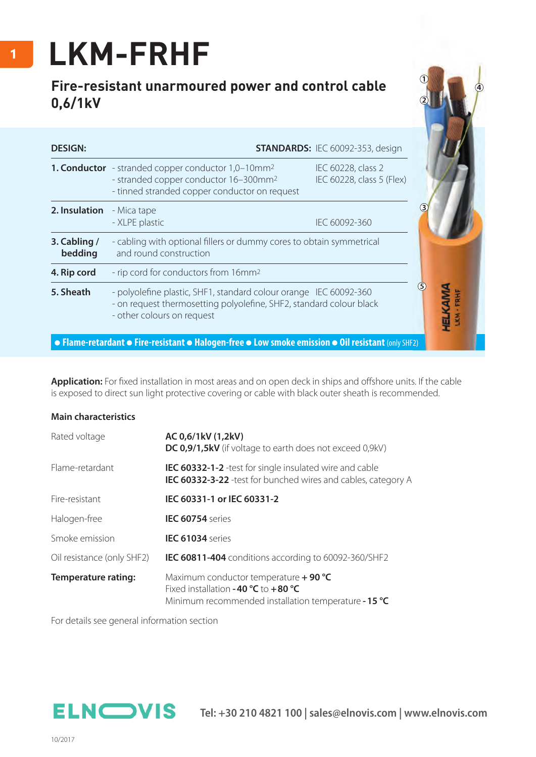## **LKM-FRHF**

## **Fire-resistant unarmoured power and control cable 0,6/1kV**

| <b>DESIGN:</b>          |                                                                                                                                                                               | <b>STANDARDS: IEC 60092-353, design</b>         |  |  |  |  |
|-------------------------|-------------------------------------------------------------------------------------------------------------------------------------------------------------------------------|-------------------------------------------------|--|--|--|--|
|                         | 1. Conductor - stranded copper conductor 1,0-10mm <sup>2</sup><br>- stranded copper conductor 16-300mm <sup>2</sup><br>- tinned stranded copper conductor on request          | IEC 60228, class 2<br>IEC 60228, class 5 (Flex) |  |  |  |  |
| 2. Insulation           | - Mica tape<br>- XLPE plastic                                                                                                                                                 | IEC 60092-360                                   |  |  |  |  |
| 3. Cabling /<br>bedding | - cabling with optional fillers or dummy cores to obtain symmetrical<br>and round construction                                                                                |                                                 |  |  |  |  |
| 4. Rip cord             | - rip cord for conductors from 16mm <sup>2</sup>                                                                                                                              |                                                 |  |  |  |  |
| 5. Sheath               | (5)<br>- polyolefine plastic, SHF1, standard colour orange IEC 60092-360<br>- on request thermosetting polyolefine, SHF2, standard colour black<br>- other colours on request |                                                 |  |  |  |  |

Application: For fixed installation in most areas and on open deck in ships and offshore units. If the cable is exposed to direct sun light protective covering or cable with black outer sheath is recommended.

## **Main characteristics**

| Rated voltage              | AC 0,6/1kV (1,2kV)<br><b>DC 0,9/1,5kV</b> (if voltage to earth does not exceed 0,9kV)                                                    |
|----------------------------|------------------------------------------------------------------------------------------------------------------------------------------|
| Flame-retardant            | <b>IEC 60332-1-2</b> -test for single insulated wire and cable<br><b>IEC 60332-3-22</b> -test for bunched wires and cables, category A   |
| Fire-resistant             | IEC 60331-1 or IEC 60331-2                                                                                                               |
| Halogen-free               | <b>IEC 60754</b> series                                                                                                                  |
| Smoke emission             | <b>IEC 61034</b> series                                                                                                                  |
| Oil resistance (only SHF2) | IEC 60811-404 conditions according to 60092-360/SHF2                                                                                     |
| <b>Temperature rating:</b> | Maximum conductor temperature $+$ 90 °C<br>Fixed installation -40 $°C$ to +80 °C<br>Minimum recommended installation temperature - 15 °C |

For details see general information section

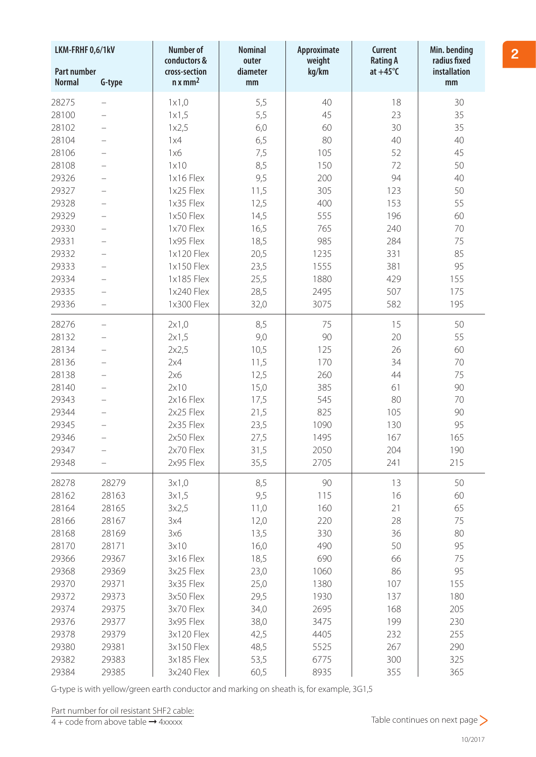| <b>Part number</b><br>kg/km<br>$at +45^{\circ}C$<br>installation<br>cross-section<br>diameter<br>$n x$ mm <sup>2</sup><br><b>Normal</b><br>G-type<br>mm<br>mm<br>40<br>18<br>28275<br>1x1,0<br>5,5<br>30<br>5,5<br>35<br>28100<br>1x1,5<br>45<br>23<br>30<br>35<br>28102<br>6,0<br>60<br>1x2,5<br>28104<br>6,5<br>80<br>40<br>40<br>1x4<br>52<br>45<br>28106<br>1x6<br>7,5<br>105<br>8,5<br>50<br>28108<br>1x10<br>150<br>72<br>9,5<br>94<br>40<br>29326<br>1x16 Flex<br>200<br>50<br>29327<br>1x25 Flex<br>11,5<br>305<br>123<br>1x35 Flex<br>29328<br>12,5<br>400<br>153<br>55<br>29329<br>60<br>1x50 Flex<br>14,5<br>555<br>196<br>1x70 Flex<br>29330<br>16,5<br>765<br>240<br>70<br>1x95 Flex<br>29331<br>18,5<br>985<br>284<br>75<br>85<br>29332<br>1x120 Flex<br>20,5<br>1235<br>331<br>95<br>29333<br>1x150 Flex<br>23,5<br>381<br>1555<br>1x185 Flex<br>29334<br>25,5<br>1880<br>429<br>155<br>29335<br>1x240 Flex<br>507<br>28,5<br>2495<br>175<br>29336<br>1x300 Flex<br>32,0<br>582<br>195<br>3075<br>28276<br>8,5<br>75<br>15<br>50<br>2x1,0<br>$\overline{\phantom{0}}$<br>9,0<br>28132<br>2x1,5<br>90<br>20<br>55<br>26<br>60<br>28134<br>10,5<br>125<br>2x2,5<br>$\overline{\phantom{0}}$<br>70<br>28136<br>11,5<br>170<br>34<br>2x4<br>$\overline{\phantom{0}}$<br>28138<br>12,5<br>44<br>75<br>2x6<br>260<br>90<br>28140<br>2x10<br>385<br>61<br>15,0<br>$2x16$ Flex<br>70<br>29343<br>17,5<br>80<br>545<br>2x25 Flex<br>90<br>29344<br>21,5<br>825<br>105<br>2x35 Flex<br>95<br>29345<br>23,5<br>1090<br>130<br>165<br>29346<br>2x50 Flex<br>27,5<br>1495<br>167<br>$\overline{\phantom{0}}$<br>2x70 Flex<br>31,5<br>2050<br>204<br>190<br>29347<br>2705<br>2x95 Flex<br>35,5<br>241<br>215<br>29348<br>8,5<br>90<br>13<br>50<br>28278<br>28279<br>3x1,0<br>28162<br>9,5<br>115<br>60<br>28163<br>3x1,5<br>16<br>65<br>28164<br>28165<br>11,0<br>160<br>21<br>3x2,5<br>12,0<br>220<br>75<br>28166<br>28167<br>28<br>3x4<br>80<br>28168<br>28169<br>13,5<br>330<br>36<br>3x6<br>95<br>28170<br>28171<br>3x10<br>16,0<br>490<br>50<br>18,5<br>690<br>75<br>29366<br>29367<br>3x16 Flex<br>66<br>95<br>29368<br>29369<br>3x25 Flex<br>23,0<br>1060<br>86<br>25,0<br>155<br>29370<br>3x35 Flex<br>1380<br>107<br>29371<br>29,5<br>137<br>180<br>29372<br>29373<br>3x50 Flex<br>1930<br>29374<br>29375<br>3x70 Flex<br>34,0<br>2695<br>168<br>205<br>230<br>29376<br>29377<br>3x95 Flex<br>38,0<br>3475<br>199<br>42,5<br>4405<br>232<br>255<br>29378<br>29379<br>3x120 Flex<br>29380<br>29381<br>3x150 Flex<br>48,5<br>5525<br>267<br>290<br>53,5<br>300<br>325<br>29382<br>29383<br>3x185 Flex<br>6775 | LKM-FRHF 0,6/1kV |       | <b>Number of</b><br>conductors & | <b>Nominal</b> | Approximate<br>weight | <b>Current</b><br><b>Rating A</b> | Min. bending<br>radius fixed |
|-----------------------------------------------------------------------------------------------------------------------------------------------------------------------------------------------------------------------------------------------------------------------------------------------------------------------------------------------------------------------------------------------------------------------------------------------------------------------------------------------------------------------------------------------------------------------------------------------------------------------------------------------------------------------------------------------------------------------------------------------------------------------------------------------------------------------------------------------------------------------------------------------------------------------------------------------------------------------------------------------------------------------------------------------------------------------------------------------------------------------------------------------------------------------------------------------------------------------------------------------------------------------------------------------------------------------------------------------------------------------------------------------------------------------------------------------------------------------------------------------------------------------------------------------------------------------------------------------------------------------------------------------------------------------------------------------------------------------------------------------------------------------------------------------------------------------------------------------------------------------------------------------------------------------------------------------------------------------------------------------------------------------------------------------------------------------------------------------------------------------------------------------------------------------------------------------------------------------------------------------------------------------------------------------------------------------------------------------------------------------------------------------------------------------------------------------------------------------------------------------------------------------------------------------------------------------------------------------------------------------|------------------|-------|----------------------------------|----------------|-----------------------|-----------------------------------|------------------------------|
|                                                                                                                                                                                                                                                                                                                                                                                                                                                                                                                                                                                                                                                                                                                                                                                                                                                                                                                                                                                                                                                                                                                                                                                                                                                                                                                                                                                                                                                                                                                                                                                                                                                                                                                                                                                                                                                                                                                                                                                                                                                                                                                                                                                                                                                                                                                                                                                                                                                                                                                                                                                                                       |                  |       |                                  | outer          |                       |                                   |                              |
|                                                                                                                                                                                                                                                                                                                                                                                                                                                                                                                                                                                                                                                                                                                                                                                                                                                                                                                                                                                                                                                                                                                                                                                                                                                                                                                                                                                                                                                                                                                                                                                                                                                                                                                                                                                                                                                                                                                                                                                                                                                                                                                                                                                                                                                                                                                                                                                                                                                                                                                                                                                                                       |                  |       |                                  |                |                       |                                   |                              |
|                                                                                                                                                                                                                                                                                                                                                                                                                                                                                                                                                                                                                                                                                                                                                                                                                                                                                                                                                                                                                                                                                                                                                                                                                                                                                                                                                                                                                                                                                                                                                                                                                                                                                                                                                                                                                                                                                                                                                                                                                                                                                                                                                                                                                                                                                                                                                                                                                                                                                                                                                                                                                       |                  |       |                                  |                |                       |                                   |                              |
|                                                                                                                                                                                                                                                                                                                                                                                                                                                                                                                                                                                                                                                                                                                                                                                                                                                                                                                                                                                                                                                                                                                                                                                                                                                                                                                                                                                                                                                                                                                                                                                                                                                                                                                                                                                                                                                                                                                                                                                                                                                                                                                                                                                                                                                                                                                                                                                                                                                                                                                                                                                                                       |                  |       |                                  |                |                       |                                   |                              |
|                                                                                                                                                                                                                                                                                                                                                                                                                                                                                                                                                                                                                                                                                                                                                                                                                                                                                                                                                                                                                                                                                                                                                                                                                                                                                                                                                                                                                                                                                                                                                                                                                                                                                                                                                                                                                                                                                                                                                                                                                                                                                                                                                                                                                                                                                                                                                                                                                                                                                                                                                                                                                       |                  |       |                                  |                |                       |                                   |                              |
|                                                                                                                                                                                                                                                                                                                                                                                                                                                                                                                                                                                                                                                                                                                                                                                                                                                                                                                                                                                                                                                                                                                                                                                                                                                                                                                                                                                                                                                                                                                                                                                                                                                                                                                                                                                                                                                                                                                                                                                                                                                                                                                                                                                                                                                                                                                                                                                                                                                                                                                                                                                                                       |                  |       |                                  |                |                       |                                   |                              |
|                                                                                                                                                                                                                                                                                                                                                                                                                                                                                                                                                                                                                                                                                                                                                                                                                                                                                                                                                                                                                                                                                                                                                                                                                                                                                                                                                                                                                                                                                                                                                                                                                                                                                                                                                                                                                                                                                                                                                                                                                                                                                                                                                                                                                                                                                                                                                                                                                                                                                                                                                                                                                       |                  |       |                                  |                |                       |                                   |                              |
|                                                                                                                                                                                                                                                                                                                                                                                                                                                                                                                                                                                                                                                                                                                                                                                                                                                                                                                                                                                                                                                                                                                                                                                                                                                                                                                                                                                                                                                                                                                                                                                                                                                                                                                                                                                                                                                                                                                                                                                                                                                                                                                                                                                                                                                                                                                                                                                                                                                                                                                                                                                                                       |                  |       |                                  |                |                       |                                   |                              |
|                                                                                                                                                                                                                                                                                                                                                                                                                                                                                                                                                                                                                                                                                                                                                                                                                                                                                                                                                                                                                                                                                                                                                                                                                                                                                                                                                                                                                                                                                                                                                                                                                                                                                                                                                                                                                                                                                                                                                                                                                                                                                                                                                                                                                                                                                                                                                                                                                                                                                                                                                                                                                       |                  |       |                                  |                |                       |                                   |                              |
|                                                                                                                                                                                                                                                                                                                                                                                                                                                                                                                                                                                                                                                                                                                                                                                                                                                                                                                                                                                                                                                                                                                                                                                                                                                                                                                                                                                                                                                                                                                                                                                                                                                                                                                                                                                                                                                                                                                                                                                                                                                                                                                                                                                                                                                                                                                                                                                                                                                                                                                                                                                                                       |                  |       |                                  |                |                       |                                   |                              |
|                                                                                                                                                                                                                                                                                                                                                                                                                                                                                                                                                                                                                                                                                                                                                                                                                                                                                                                                                                                                                                                                                                                                                                                                                                                                                                                                                                                                                                                                                                                                                                                                                                                                                                                                                                                                                                                                                                                                                                                                                                                                                                                                                                                                                                                                                                                                                                                                                                                                                                                                                                                                                       |                  |       |                                  |                |                       |                                   |                              |
|                                                                                                                                                                                                                                                                                                                                                                                                                                                                                                                                                                                                                                                                                                                                                                                                                                                                                                                                                                                                                                                                                                                                                                                                                                                                                                                                                                                                                                                                                                                                                                                                                                                                                                                                                                                                                                                                                                                                                                                                                                                                                                                                                                                                                                                                                                                                                                                                                                                                                                                                                                                                                       |                  |       |                                  |                |                       |                                   |                              |
|                                                                                                                                                                                                                                                                                                                                                                                                                                                                                                                                                                                                                                                                                                                                                                                                                                                                                                                                                                                                                                                                                                                                                                                                                                                                                                                                                                                                                                                                                                                                                                                                                                                                                                                                                                                                                                                                                                                                                                                                                                                                                                                                                                                                                                                                                                                                                                                                                                                                                                                                                                                                                       |                  |       |                                  |                |                       |                                   |                              |
|                                                                                                                                                                                                                                                                                                                                                                                                                                                                                                                                                                                                                                                                                                                                                                                                                                                                                                                                                                                                                                                                                                                                                                                                                                                                                                                                                                                                                                                                                                                                                                                                                                                                                                                                                                                                                                                                                                                                                                                                                                                                                                                                                                                                                                                                                                                                                                                                                                                                                                                                                                                                                       |                  |       |                                  |                |                       |                                   |                              |
|                                                                                                                                                                                                                                                                                                                                                                                                                                                                                                                                                                                                                                                                                                                                                                                                                                                                                                                                                                                                                                                                                                                                                                                                                                                                                                                                                                                                                                                                                                                                                                                                                                                                                                                                                                                                                                                                                                                                                                                                                                                                                                                                                                                                                                                                                                                                                                                                                                                                                                                                                                                                                       |                  |       |                                  |                |                       |                                   |                              |
|                                                                                                                                                                                                                                                                                                                                                                                                                                                                                                                                                                                                                                                                                                                                                                                                                                                                                                                                                                                                                                                                                                                                                                                                                                                                                                                                                                                                                                                                                                                                                                                                                                                                                                                                                                                                                                                                                                                                                                                                                                                                                                                                                                                                                                                                                                                                                                                                                                                                                                                                                                                                                       |                  |       |                                  |                |                       |                                   |                              |
|                                                                                                                                                                                                                                                                                                                                                                                                                                                                                                                                                                                                                                                                                                                                                                                                                                                                                                                                                                                                                                                                                                                                                                                                                                                                                                                                                                                                                                                                                                                                                                                                                                                                                                                                                                                                                                                                                                                                                                                                                                                                                                                                                                                                                                                                                                                                                                                                                                                                                                                                                                                                                       |                  |       |                                  |                |                       |                                   |                              |
|                                                                                                                                                                                                                                                                                                                                                                                                                                                                                                                                                                                                                                                                                                                                                                                                                                                                                                                                                                                                                                                                                                                                                                                                                                                                                                                                                                                                                                                                                                                                                                                                                                                                                                                                                                                                                                                                                                                                                                                                                                                                                                                                                                                                                                                                                                                                                                                                                                                                                                                                                                                                                       |                  |       |                                  |                |                       |                                   |                              |
|                                                                                                                                                                                                                                                                                                                                                                                                                                                                                                                                                                                                                                                                                                                                                                                                                                                                                                                                                                                                                                                                                                                                                                                                                                                                                                                                                                                                                                                                                                                                                                                                                                                                                                                                                                                                                                                                                                                                                                                                                                                                                                                                                                                                                                                                                                                                                                                                                                                                                                                                                                                                                       |                  |       |                                  |                |                       |                                   |                              |
|                                                                                                                                                                                                                                                                                                                                                                                                                                                                                                                                                                                                                                                                                                                                                                                                                                                                                                                                                                                                                                                                                                                                                                                                                                                                                                                                                                                                                                                                                                                                                                                                                                                                                                                                                                                                                                                                                                                                                                                                                                                                                                                                                                                                                                                                                                                                                                                                                                                                                                                                                                                                                       |                  |       |                                  |                |                       |                                   |                              |
|                                                                                                                                                                                                                                                                                                                                                                                                                                                                                                                                                                                                                                                                                                                                                                                                                                                                                                                                                                                                                                                                                                                                                                                                                                                                                                                                                                                                                                                                                                                                                                                                                                                                                                                                                                                                                                                                                                                                                                                                                                                                                                                                                                                                                                                                                                                                                                                                                                                                                                                                                                                                                       |                  |       |                                  |                |                       |                                   |                              |
|                                                                                                                                                                                                                                                                                                                                                                                                                                                                                                                                                                                                                                                                                                                                                                                                                                                                                                                                                                                                                                                                                                                                                                                                                                                                                                                                                                                                                                                                                                                                                                                                                                                                                                                                                                                                                                                                                                                                                                                                                                                                                                                                                                                                                                                                                                                                                                                                                                                                                                                                                                                                                       |                  |       |                                  |                |                       |                                   |                              |
|                                                                                                                                                                                                                                                                                                                                                                                                                                                                                                                                                                                                                                                                                                                                                                                                                                                                                                                                                                                                                                                                                                                                                                                                                                                                                                                                                                                                                                                                                                                                                                                                                                                                                                                                                                                                                                                                                                                                                                                                                                                                                                                                                                                                                                                                                                                                                                                                                                                                                                                                                                                                                       |                  |       |                                  |                |                       |                                   |                              |
|                                                                                                                                                                                                                                                                                                                                                                                                                                                                                                                                                                                                                                                                                                                                                                                                                                                                                                                                                                                                                                                                                                                                                                                                                                                                                                                                                                                                                                                                                                                                                                                                                                                                                                                                                                                                                                                                                                                                                                                                                                                                                                                                                                                                                                                                                                                                                                                                                                                                                                                                                                                                                       |                  |       |                                  |                |                       |                                   |                              |
|                                                                                                                                                                                                                                                                                                                                                                                                                                                                                                                                                                                                                                                                                                                                                                                                                                                                                                                                                                                                                                                                                                                                                                                                                                                                                                                                                                                                                                                                                                                                                                                                                                                                                                                                                                                                                                                                                                                                                                                                                                                                                                                                                                                                                                                                                                                                                                                                                                                                                                                                                                                                                       |                  |       |                                  |                |                       |                                   |                              |
|                                                                                                                                                                                                                                                                                                                                                                                                                                                                                                                                                                                                                                                                                                                                                                                                                                                                                                                                                                                                                                                                                                                                                                                                                                                                                                                                                                                                                                                                                                                                                                                                                                                                                                                                                                                                                                                                                                                                                                                                                                                                                                                                                                                                                                                                                                                                                                                                                                                                                                                                                                                                                       |                  |       |                                  |                |                       |                                   |                              |
|                                                                                                                                                                                                                                                                                                                                                                                                                                                                                                                                                                                                                                                                                                                                                                                                                                                                                                                                                                                                                                                                                                                                                                                                                                                                                                                                                                                                                                                                                                                                                                                                                                                                                                                                                                                                                                                                                                                                                                                                                                                                                                                                                                                                                                                                                                                                                                                                                                                                                                                                                                                                                       |                  |       |                                  |                |                       |                                   |                              |
|                                                                                                                                                                                                                                                                                                                                                                                                                                                                                                                                                                                                                                                                                                                                                                                                                                                                                                                                                                                                                                                                                                                                                                                                                                                                                                                                                                                                                                                                                                                                                                                                                                                                                                                                                                                                                                                                                                                                                                                                                                                                                                                                                                                                                                                                                                                                                                                                                                                                                                                                                                                                                       |                  |       |                                  |                |                       |                                   |                              |
|                                                                                                                                                                                                                                                                                                                                                                                                                                                                                                                                                                                                                                                                                                                                                                                                                                                                                                                                                                                                                                                                                                                                                                                                                                                                                                                                                                                                                                                                                                                                                                                                                                                                                                                                                                                                                                                                                                                                                                                                                                                                                                                                                                                                                                                                                                                                                                                                                                                                                                                                                                                                                       |                  |       |                                  |                |                       |                                   |                              |
|                                                                                                                                                                                                                                                                                                                                                                                                                                                                                                                                                                                                                                                                                                                                                                                                                                                                                                                                                                                                                                                                                                                                                                                                                                                                                                                                                                                                                                                                                                                                                                                                                                                                                                                                                                                                                                                                                                                                                                                                                                                                                                                                                                                                                                                                                                                                                                                                                                                                                                                                                                                                                       |                  |       |                                  |                |                       |                                   |                              |
|                                                                                                                                                                                                                                                                                                                                                                                                                                                                                                                                                                                                                                                                                                                                                                                                                                                                                                                                                                                                                                                                                                                                                                                                                                                                                                                                                                                                                                                                                                                                                                                                                                                                                                                                                                                                                                                                                                                                                                                                                                                                                                                                                                                                                                                                                                                                                                                                                                                                                                                                                                                                                       |                  |       |                                  |                |                       |                                   |                              |
|                                                                                                                                                                                                                                                                                                                                                                                                                                                                                                                                                                                                                                                                                                                                                                                                                                                                                                                                                                                                                                                                                                                                                                                                                                                                                                                                                                                                                                                                                                                                                                                                                                                                                                                                                                                                                                                                                                                                                                                                                                                                                                                                                                                                                                                                                                                                                                                                                                                                                                                                                                                                                       |                  |       |                                  |                |                       |                                   |                              |
|                                                                                                                                                                                                                                                                                                                                                                                                                                                                                                                                                                                                                                                                                                                                                                                                                                                                                                                                                                                                                                                                                                                                                                                                                                                                                                                                                                                                                                                                                                                                                                                                                                                                                                                                                                                                                                                                                                                                                                                                                                                                                                                                                                                                                                                                                                                                                                                                                                                                                                                                                                                                                       |                  |       |                                  |                |                       |                                   |                              |
|                                                                                                                                                                                                                                                                                                                                                                                                                                                                                                                                                                                                                                                                                                                                                                                                                                                                                                                                                                                                                                                                                                                                                                                                                                                                                                                                                                                                                                                                                                                                                                                                                                                                                                                                                                                                                                                                                                                                                                                                                                                                                                                                                                                                                                                                                                                                                                                                                                                                                                                                                                                                                       |                  |       |                                  |                |                       |                                   |                              |
|                                                                                                                                                                                                                                                                                                                                                                                                                                                                                                                                                                                                                                                                                                                                                                                                                                                                                                                                                                                                                                                                                                                                                                                                                                                                                                                                                                                                                                                                                                                                                                                                                                                                                                                                                                                                                                                                                                                                                                                                                                                                                                                                                                                                                                                                                                                                                                                                                                                                                                                                                                                                                       |                  |       |                                  |                |                       |                                   |                              |
|                                                                                                                                                                                                                                                                                                                                                                                                                                                                                                                                                                                                                                                                                                                                                                                                                                                                                                                                                                                                                                                                                                                                                                                                                                                                                                                                                                                                                                                                                                                                                                                                                                                                                                                                                                                                                                                                                                                                                                                                                                                                                                                                                                                                                                                                                                                                                                                                                                                                                                                                                                                                                       |                  |       |                                  |                |                       |                                   |                              |
|                                                                                                                                                                                                                                                                                                                                                                                                                                                                                                                                                                                                                                                                                                                                                                                                                                                                                                                                                                                                                                                                                                                                                                                                                                                                                                                                                                                                                                                                                                                                                                                                                                                                                                                                                                                                                                                                                                                                                                                                                                                                                                                                                                                                                                                                                                                                                                                                                                                                                                                                                                                                                       |                  |       |                                  |                |                       |                                   |                              |
|                                                                                                                                                                                                                                                                                                                                                                                                                                                                                                                                                                                                                                                                                                                                                                                                                                                                                                                                                                                                                                                                                                                                                                                                                                                                                                                                                                                                                                                                                                                                                                                                                                                                                                                                                                                                                                                                                                                                                                                                                                                                                                                                                                                                                                                                                                                                                                                                                                                                                                                                                                                                                       |                  |       |                                  |                |                       |                                   |                              |
|                                                                                                                                                                                                                                                                                                                                                                                                                                                                                                                                                                                                                                                                                                                                                                                                                                                                                                                                                                                                                                                                                                                                                                                                                                                                                                                                                                                                                                                                                                                                                                                                                                                                                                                                                                                                                                                                                                                                                                                                                                                                                                                                                                                                                                                                                                                                                                                                                                                                                                                                                                                                                       |                  |       |                                  |                |                       |                                   |                              |
|                                                                                                                                                                                                                                                                                                                                                                                                                                                                                                                                                                                                                                                                                                                                                                                                                                                                                                                                                                                                                                                                                                                                                                                                                                                                                                                                                                                                                                                                                                                                                                                                                                                                                                                                                                                                                                                                                                                                                                                                                                                                                                                                                                                                                                                                                                                                                                                                                                                                                                                                                                                                                       |                  |       |                                  |                |                       |                                   |                              |
|                                                                                                                                                                                                                                                                                                                                                                                                                                                                                                                                                                                                                                                                                                                                                                                                                                                                                                                                                                                                                                                                                                                                                                                                                                                                                                                                                                                                                                                                                                                                                                                                                                                                                                                                                                                                                                                                                                                                                                                                                                                                                                                                                                                                                                                                                                                                                                                                                                                                                                                                                                                                                       |                  |       |                                  |                |                       |                                   |                              |
|                                                                                                                                                                                                                                                                                                                                                                                                                                                                                                                                                                                                                                                                                                                                                                                                                                                                                                                                                                                                                                                                                                                                                                                                                                                                                                                                                                                                                                                                                                                                                                                                                                                                                                                                                                                                                                                                                                                                                                                                                                                                                                                                                                                                                                                                                                                                                                                                                                                                                                                                                                                                                       |                  |       |                                  |                |                       |                                   |                              |
|                                                                                                                                                                                                                                                                                                                                                                                                                                                                                                                                                                                                                                                                                                                                                                                                                                                                                                                                                                                                                                                                                                                                                                                                                                                                                                                                                                                                                                                                                                                                                                                                                                                                                                                                                                                                                                                                                                                                                                                                                                                                                                                                                                                                                                                                                                                                                                                                                                                                                                                                                                                                                       |                  |       |                                  |                |                       |                                   |                              |
|                                                                                                                                                                                                                                                                                                                                                                                                                                                                                                                                                                                                                                                                                                                                                                                                                                                                                                                                                                                                                                                                                                                                                                                                                                                                                                                                                                                                                                                                                                                                                                                                                                                                                                                                                                                                                                                                                                                                                                                                                                                                                                                                                                                                                                                                                                                                                                                                                                                                                                                                                                                                                       |                  |       |                                  |                |                       |                                   |                              |
|                                                                                                                                                                                                                                                                                                                                                                                                                                                                                                                                                                                                                                                                                                                                                                                                                                                                                                                                                                                                                                                                                                                                                                                                                                                                                                                                                                                                                                                                                                                                                                                                                                                                                                                                                                                                                                                                                                                                                                                                                                                                                                                                                                                                                                                                                                                                                                                                                                                                                                                                                                                                                       | 29384            | 29385 | 3x240 Flex                       | 60,5           | 8935                  | 355                               | 365                          |

G-type is with yellow/green earth conductor and marking on sheath is, for example, 3G1,5

**2**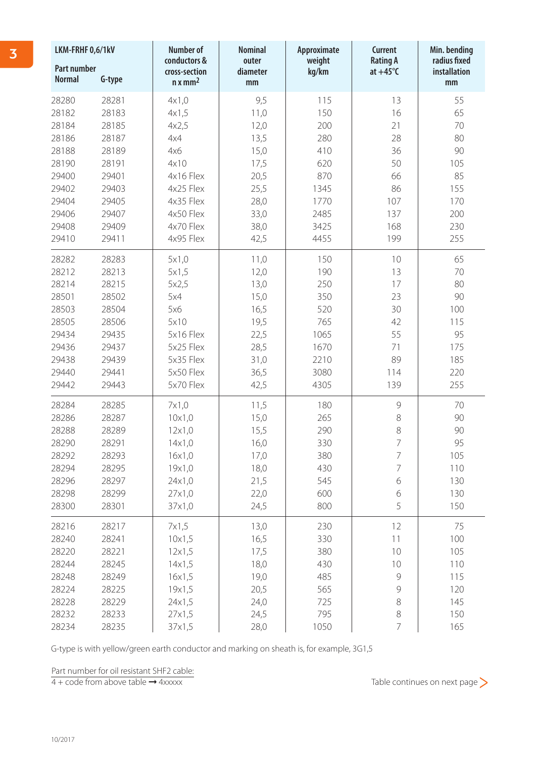| LKM-FRHF 0,6/1kV                    |        | <b>Number of</b><br>conductors & | <b>Nominal</b>          | Approximate     | <b>Current</b>                       | Min. bending<br>radius fixed |
|-------------------------------------|--------|----------------------------------|-------------------------|-----------------|--------------------------------------|------------------------------|
| <b>Part number</b><br><b>Normal</b> | G-type | cross-section<br>$n \times mm^2$ | outer<br>diameter<br>mm | weight<br>kg/km | <b>Rating A</b><br>$at +45^{\circ}C$ | installation<br>mm           |
| 28280                               | 28281  | 4x1,0                            | 9,5                     | 115             | 13                                   | 55                           |
| 28182                               | 28183  | 4x1,5                            | 11,0                    | 150             | 16                                   | 65                           |
| 28184                               | 28185  | 4x2,5                            | 12,0                    | 200             | 21                                   | 70                           |
| 28186                               | 28187  | 4x4                              | 13,5                    | 280             | 28                                   | 80                           |
| 28188                               | 28189  | 4x6                              | 15,0                    | 410             | 36                                   | 90                           |
| 28190                               | 28191  | 4x10                             | 17,5                    | 620             | 50                                   | 105                          |
| 29400                               | 29401  | 4x16 Flex                        | 20,5                    | 870             | 66                                   | 85                           |
| 29402                               | 29403  | 4x25 Flex                        | 25,5                    | 1345            | 86                                   | 155                          |
| 29404                               | 29405  | 4x35 Flex                        | 28,0                    | 1770            | 107                                  | 170                          |
| 29406                               | 29407  | 4x50 Flex                        | 33,0                    | 2485            | 137                                  | 200                          |
| 29408                               | 29409  | 4x70 Flex                        | 38,0                    | 3425            | 168                                  | 230                          |
| 29410                               | 29411  | 4x95 Flex                        | 42,5                    | 4455            | 199                                  | 255                          |
| 28282                               | 28283  | 5x1,0                            | 11,0                    | 150             | 10                                   | 65                           |
| 28212                               | 28213  | 5x1,5                            | 12,0                    | 190             | 13                                   | 70                           |
| 28214                               | 28215  | 5x2,5                            | 13,0                    | 250             | 17                                   | 80                           |
| 28501                               | 28502  | 5x4                              | 15,0                    | 350             | 23                                   | 90                           |
| 28503                               | 28504  | 5x6                              | 16,5                    | 520             | 30                                   | 100                          |
| 28505                               | 28506  | 5x10                             | 19,5                    | 765             | 42                                   | 115                          |
| 29434                               | 29435  | 5x16 Flex                        | 22,5                    | 1065            | 55                                   | 95                           |
| 29436                               | 29437  | 5x25 Flex                        | 28,5                    | 1670            | 71                                   | 175                          |
| 29438                               | 29439  | 5x35 Flex                        | 31,0                    | 2210            | 89                                   | 185                          |
| 29440                               | 29441  | 5x50 Flex                        | 36,5                    | 3080            | 114                                  | 220                          |
| 29442                               | 29443  | 5x70 Flex                        | 42,5                    | 4305            | 139                                  | 255                          |
| 28284                               | 28285  | 7x1,0                            | 11,5                    | 180             | 9                                    | 70                           |
| 28286                               | 28287  | 10x1,0                           | 15,0                    | 265             | 8                                    | 90                           |
| 28288                               | 28289  | 12x1,0                           | 15,5                    | 290             | 8                                    | 90                           |
| 28290                               | 28291  | 14x1,0                           | 16,0                    | 330             | 7                                    | 95                           |
| 28292                               | 28293  | 16x1,0                           | 17,0                    | 380             | $\overline{7}$                       | 105                          |
| 28294                               | 28295  | 19x1,0                           | 18,0                    | 430             | $\overline{7}$                       | 110                          |
| 28296                               | 28297  | 24x1,0                           | 21,5                    | 545             | 6                                    | 130                          |
| 28298                               | 28299  | 27x1,0                           | 22,0                    | 600             | 6                                    | 130                          |
| 28300                               | 28301  | 37x1,0                           | 24,5                    | 800             | 5                                    | 150                          |
| 28216                               | 28217  | 7x1,5                            | 13,0                    | 230             | 12                                   | 75                           |
| 28240                               | 28241  | 10x1,5                           | 16,5                    | 330             | 11                                   | 100                          |
| 28220                               | 28221  | 12x1,5                           | 17,5                    | 380             | 10                                   | 105                          |
| 28244                               | 28245  | 14x1,5                           | 18,0                    | 430             | 10                                   | 110                          |
| 28248                               | 28249  | 16x1,5                           | 19,0                    | 485             | 9                                    | 115                          |
| 28224                               | 28225  | 19x1,5                           | 20,5                    | 565             | 9                                    | 120                          |
| 28228                               | 28229  | 24x1,5                           | 24,0                    | 725             | 8                                    | 145                          |
| 28232                               | 28233  | 27x1,5                           | 24,5                    | 795             | 8                                    | 150                          |
| 28234                               | 28235  | 37x1,5                           | 28,0                    | 1050            | $\overline{7}$                       | 165                          |

G-type is with yellow/green earth conductor and marking on sheath is, for example, 3G1,5

Part number for oil resistant SHF2 cable:

4 + code from above table → 4xxxxx Table continues on next page >